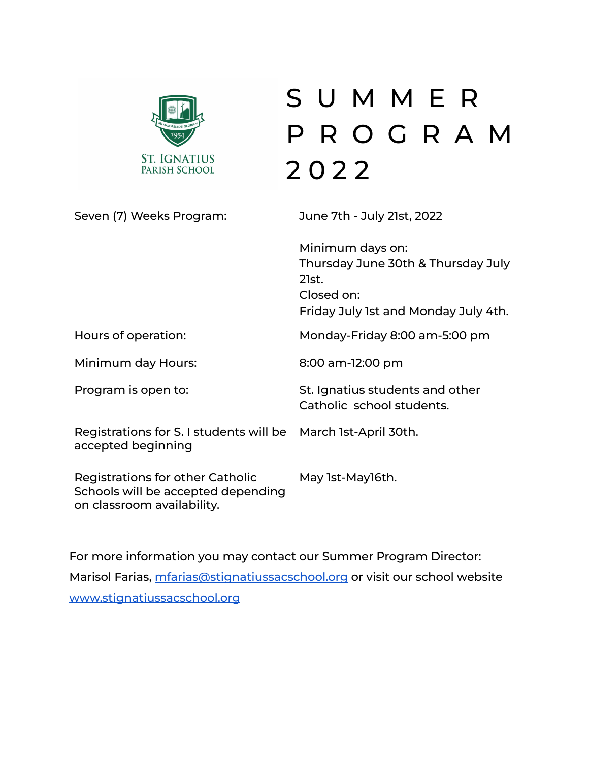

# S U M M E R P R O G R A M 2 0 2 2

Seven (7) Weeks Program: June 7th - July 21st, 2022

|                                                                                                      | Minimum days on:<br>Thursday June 30th & Thursday July<br>21st.<br>Closed on:<br>Friday July 1st and Monday July 4th. |
|------------------------------------------------------------------------------------------------------|-----------------------------------------------------------------------------------------------------------------------|
| Hours of operation:                                                                                  | Monday-Friday 8:00 am-5:00 pm                                                                                         |
| Minimum day Hours:                                                                                   | 8:00 am-12:00 pm                                                                                                      |
| Program is open to:                                                                                  | St. Ignatius students and other<br>Catholic school students.                                                          |
| Registrations for S. I students will be<br>accepted beginning                                        | March 1st-April 30th.                                                                                                 |
| Registrations for other Catholic<br>Schools will be accepted depending<br>on classroom availability. | May 1st-May16th.                                                                                                      |

For more information you may contact our Summer Program Director: Marisol Farias, [mfarias@stignatiussacschool.org](mailto:mfarias@stignatiussacschool.org) or visit our school website [www.stignatiussacschool.org](http://www.stignatiussacschool.org)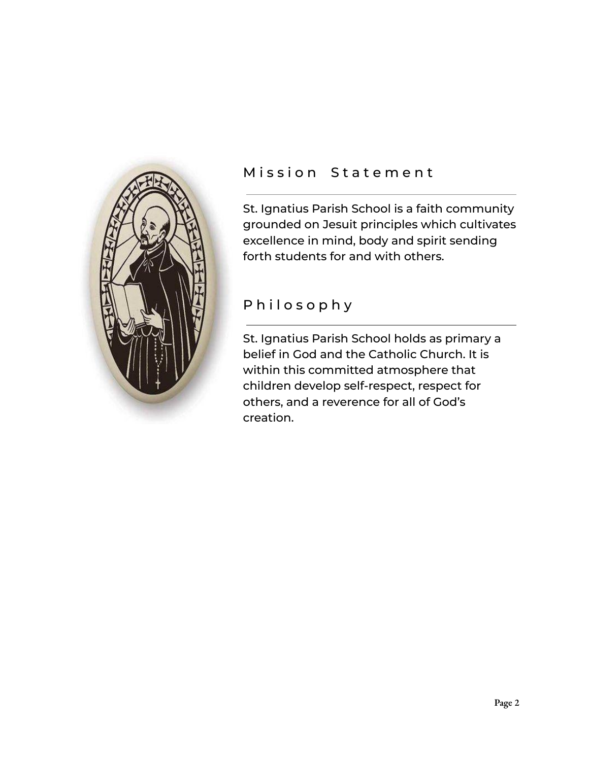

### Mission Statement

St. Ignatius Parish School is a faith community grounded on Jesuit principles which cultivates excellence in mind, body and spirit sending forth students for and with others.

# P h i l o s o p h y

St. Ignatius Parish School holds as primary a belief in God and the Catholic Church. It is within this committed atmosphere that children develop self-respect, respect for others, and a reverence for all of God's creation.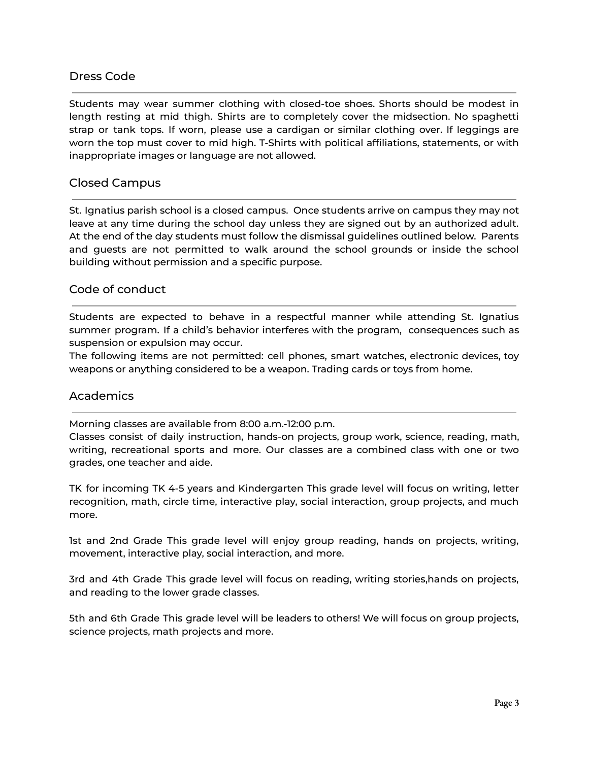### Dress Code

Students may wear summer clothing with closed-toe shoes. Shorts should be modest in length resting at mid thigh. Shirts are to completely cover the midsection. No spaghetti strap or tank tops. If worn, please use a cardigan or similar clothing over. If leggings are worn the top must cover to mid high. T-Shirts with political affiliations, statements, or with inappropriate images or language are not allowed.

#### Closed Campus

St. Ignatius parish school is a closed campus. Once students arrive on campus they may not leave at any time during the school day unless they are signed out by an authorized adult. At the end of the day students must follow the dismissal guidelines outlined below. Parents and guests are not permitted to walk around the school grounds or inside the school building without permission and a specific purpose.

#### Code of conduct

Students are expected to behave in a respectful manner while attending St. Ignatius summer program. If a child's behavior interferes with the program, consequences such as suspension or expulsion may occur.

The following items are not permitted: cell phones, smart watches, electronic devices, toy weapons or anything considered to be a weapon. Trading cards or toys from home.

#### **Academics**

Morning classes are available from 8:00 a.m.-12:00 p.m.

Classes consist of daily instruction, hands-on projects, group work, science, reading, math, writing, recreational sports and more. Our classes are a combined class with one or two grades, one teacher and aide.

TK for incoming TK 4-5 years and Kindergarten This grade level will focus on writing, letter recognition, math, circle time, interactive play, social interaction, group projects, and much more.

1st and 2nd Grade This grade level will enjoy group reading, hands on projects, writing, movement, interactive play, social interaction, and more.

3rd and 4th Grade This grade level will focus on reading, writing stories,hands on projects, and reading to the lower grade classes.

5th and 6th Grade This grade level will be leaders to others! We will focus on group projects, science projects, math projects and more.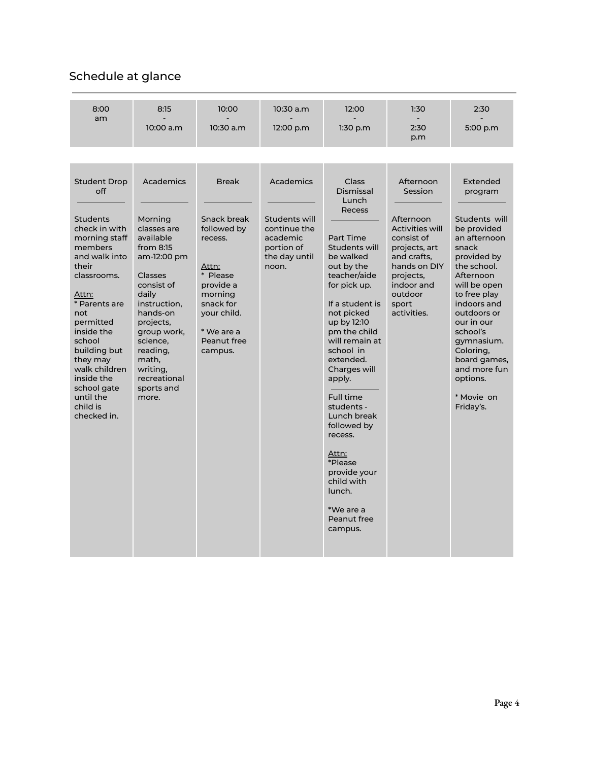## Schedule at glance

| 8:00<br>am                                                                                                                                                                                                                                                                                                                  | 8:15                                                                                                                                                                                                                                                                | 10:00                                                                                                                                                                  | 10:30 a.m                                                                                      | 12:00                                                                                                                                                                                                                                                                                                                                                                                                                                              | 1:30                                                                                                                                                                                    | 2:30                                                                                                                                                                                                                                                                                                              |
|-----------------------------------------------------------------------------------------------------------------------------------------------------------------------------------------------------------------------------------------------------------------------------------------------------------------------------|---------------------------------------------------------------------------------------------------------------------------------------------------------------------------------------------------------------------------------------------------------------------|------------------------------------------------------------------------------------------------------------------------------------------------------------------------|------------------------------------------------------------------------------------------------|----------------------------------------------------------------------------------------------------------------------------------------------------------------------------------------------------------------------------------------------------------------------------------------------------------------------------------------------------------------------------------------------------------------------------------------------------|-----------------------------------------------------------------------------------------------------------------------------------------------------------------------------------------|-------------------------------------------------------------------------------------------------------------------------------------------------------------------------------------------------------------------------------------------------------------------------------------------------------------------|
|                                                                                                                                                                                                                                                                                                                             | 10:00 a.m                                                                                                                                                                                                                                                           | 10:30 a.m                                                                                                                                                              | 12:00 p.m                                                                                      | 1:30 p.m                                                                                                                                                                                                                                                                                                                                                                                                                                           | 2:30<br>p.m                                                                                                                                                                             | 5:00 p.m                                                                                                                                                                                                                                                                                                          |
|                                                                                                                                                                                                                                                                                                                             |                                                                                                                                                                                                                                                                     |                                                                                                                                                                        |                                                                                                |                                                                                                                                                                                                                                                                                                                                                                                                                                                    |                                                                                                                                                                                         |                                                                                                                                                                                                                                                                                                                   |
| <b>Student Drop</b><br>off<br><b>Students</b><br>check in with<br>morning staff<br>members<br>and walk into<br>their<br>classrooms.<br>Attn:<br>* Parents are<br>not<br>permitted<br>inside the<br>school<br>building but<br>they may<br>walk children<br>inside the<br>school gate<br>until the<br>child is<br>checked in. | <b>Academics</b><br>Morning<br>classes are<br>available<br>from $8:15$<br>am-12:00 pm<br>Classes<br>consist of<br>daily<br>instruction,<br>hands-on<br>projects,<br>group work,<br>science,<br>reading,<br>math,<br>writing,<br>recreational<br>sports and<br>more. | <b>Break</b><br>Snack break<br>followed by<br>recess.<br>Attn:<br>* Please<br>provide a<br>morning<br>snack for<br>your child.<br>* We are a<br>Peanut free<br>campus. | Academics<br>Students will<br>continue the<br>academic<br>portion of<br>the day until<br>noon. | Class<br>Dismissal<br>Lunch<br><b>Recess</b><br>Part Time<br>Students will<br>be walked<br>out by the<br>teacher/aide<br>for pick up.<br>If a student is<br>not picked<br>up by 12:10<br>pm the child<br>will remain at<br>school in<br>extended.<br>Charges will<br>apply.<br>Full time<br>students -<br>Lunch break<br>followed by<br>recess.<br>Attn:<br>*Please<br>provide your<br>child with<br>lunch.<br>*We are a<br>Peanut free<br>campus. | Afternoon<br>Session<br>Afternoon<br><b>Activities will</b><br>consist of<br>projects, art<br>and crafts.<br>hands on DIY<br>projects,<br>indoor and<br>outdoor<br>sport<br>activities. | Extended<br>program<br>Students will<br>be provided<br>an afternoon<br>snack<br>provided by<br>the school.<br>Afternoon<br>will be open<br>to free play<br>indoors and<br>outdoors or<br>our in our<br>school's<br>gymnasium.<br>Coloring,<br>board games,<br>and more fun<br>options.<br>* Movie on<br>Friday's. |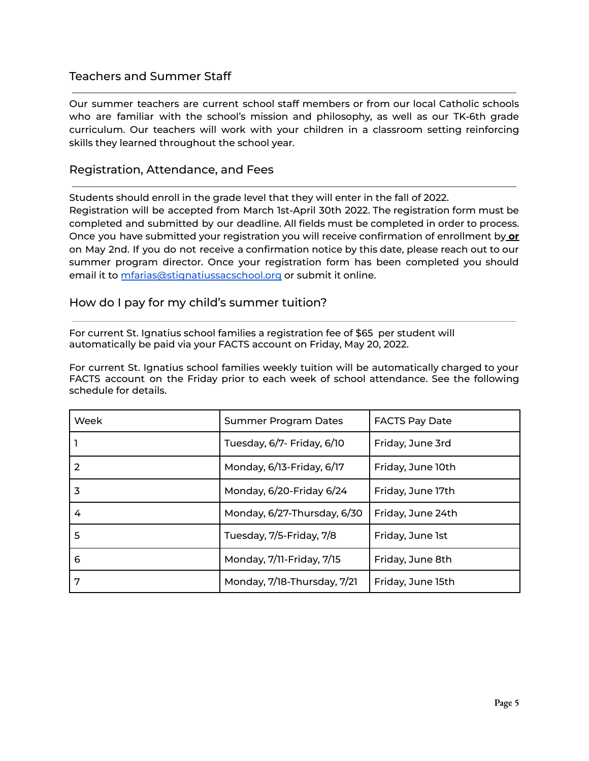### Teachers and Summer Staff

Our summer teachers are current school staff members or from our local Catholic schools who are familiar with the school's mission and philosophy, as well as our TK-6th grade curriculum. Our teachers will work with your children in a classroom setting reinforcing skills they learned throughout the school year.

#### Registration, Attendance, and Fees

Students should enroll in the grade level that they will enter in the fall of 2022. Registration will be accepted from March 1st-April 30th 2022. The registration form must be

completed and submitted by our deadline. All fields must be completed in order to process. Once you have submitted your registration you will receive confirmation of enrollment by **or** on May 2nd. If you do not receive a confirmation notice by this date, please reach out to our summer program director. Once your registration form has been completed you should email it to [mfarias@stignatiussacschool.org](mailto:mfarias@stignatiussacschool.org) or submit it online.

#### How do I pay for my child's summer tuition?

For current St. Ignatius school families a registration fee of \$65 per student will automatically be paid via your FACTS account on Friday, May 20, 2022.

For current St. Ignatius school families weekly tuition will be automatically charged to your FACTS account on the Friday prior to each week of school attendance. See the following schedule for details.

| Week | <b>Summer Program Dates</b> | <b>FACTS Pay Date</b> |  |
|------|-----------------------------|-----------------------|--|
|      | Tuesday, 6/7- Friday, 6/10  | Friday, June 3rd      |  |
| 2    | Monday, 6/13-Friday, 6/17   | Friday, June 10th     |  |
| 3    | Monday, 6/20-Friday 6/24    | Friday, June 17th     |  |
| 4    | Monday, 6/27-Thursday, 6/30 | Friday, June 24th     |  |
| 5    | Tuesday, 7/5-Friday, 7/8    | Friday, June 1st      |  |
| 6    | Monday, 7/11-Friday, 7/15   | Friday, June 8th      |  |
| 7    | Monday, 7/18-Thursday, 7/21 | Friday, June 15th     |  |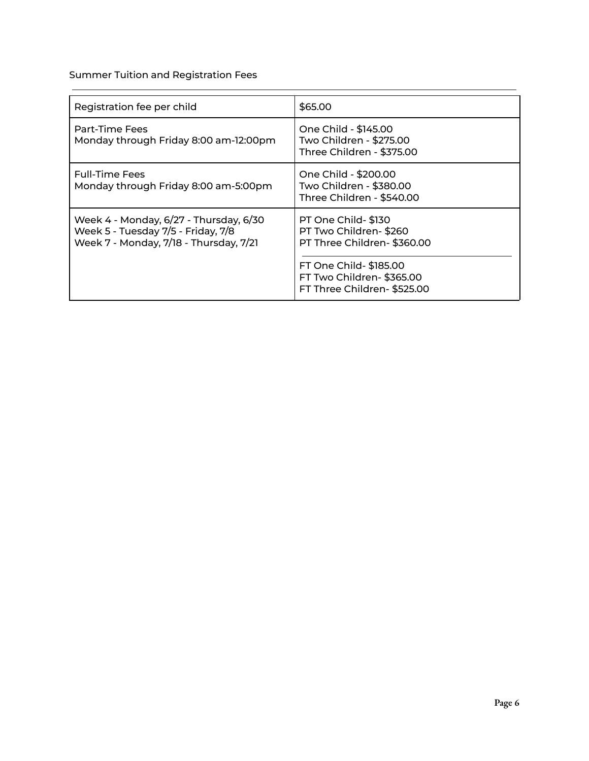Summer Tuition and Registration Fees

| Registration fee per child                                                                                             | \$65.00                                                                                                                                                       |
|------------------------------------------------------------------------------------------------------------------------|---------------------------------------------------------------------------------------------------------------------------------------------------------------|
| Part-Time Fees<br>Monday through Friday 8:00 am-12:00pm                                                                | One Child - \$145.00<br>Two Children - \$275.00<br>Three Children - \$375.00                                                                                  |
| <b>Full-Time Fees</b><br>Monday through Friday 8:00 am-5:00pm                                                          | One Child - \$200.00<br>Two Children - \$380.00<br>Three Children - \$540.00                                                                                  |
| Week 4 - Monday, 6/27 - Thursday, 6/30<br>Week 5 - Tuesday 7/5 - Friday, 7/8<br>Week 7 - Monday, 7/18 - Thursday, 7/21 | PT One Child-\$130<br>PT Two Children-\$260<br>PT Three Children-\$360.00<br>FT One Child- \$185.00<br>FT Two Children-\$365.00<br>FT Three Children-\$525.00 |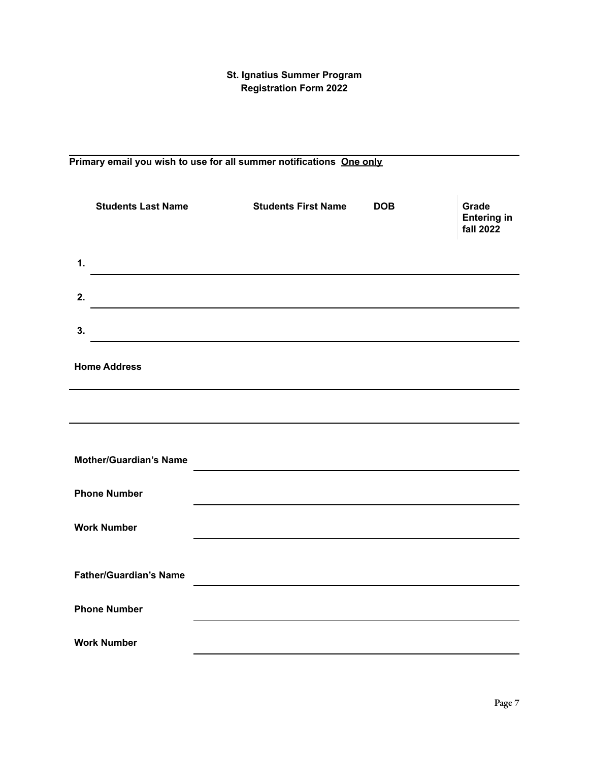#### **St. Ignatius Summer Program Registration Form 2022**

# **Primary email you wish to use for all summer notifications One only Students Last Name Students First Name DOB Grade Entering in fall 2022 1. 2. 3. Home Address Mother/Guardian's Name Phone Number Work Number Father/Guardian's Name Phone Number Work Number**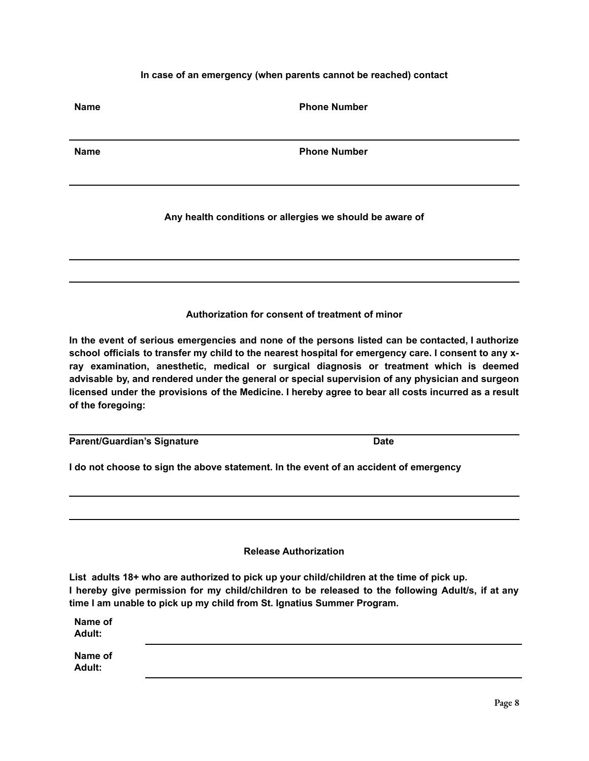#### **In case of an emergency (when parents cannot be reached) contact**

**Name Phone Number**

| <b>Name</b> | <b>Phone Number</b>                                      |
|-------------|----------------------------------------------------------|
|             |                                                          |
|             | Any health conditions or allergies we should be aware of |
|             |                                                          |
|             | Authorization for consent of treatment of minor          |
|             |                                                          |

**In the event of serious emergencies and none of the persons listed can be contacted, I authorize** school officials to transfer my child to the nearest hospital for emergency care. I consent to any x**ray examination, anesthetic, medical or surgical diagnosis or treatment which is deemed advisable by, and rendered under the general or special supervision of any physician and surgeon** licensed under the provisions of the Medicine. I hereby agree to bear all costs incurred as a result **of the foregoing:**

**Parent/Guardian's Signature Date** 

**I do not choose to sign the above statement. In the event of an accident of emergency**

**Release Authorization**

**List adults 18+ who are authorized to pick up your child/children at the time of pick up. I hereby give permission for my child/children to be released to the following Adult/s, if at any time I am unable to pick up my child from St. Ignatius Summer Program.**

| Name of<br>Adult: |  |  |
|-------------------|--|--|
| Name of<br>Adult: |  |  |